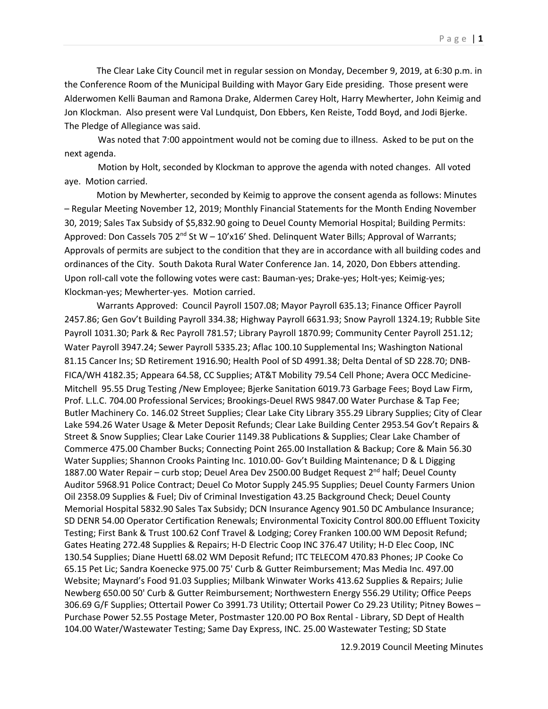The Clear Lake City Council met in regular session on Monday, December 9, 2019, at 6:30 p.m. in the Conference Room of the Municipal Building with Mayor Gary Eide presiding. Those present were Alderwomen Kelli Bauman and Ramona Drake, Aldermen Carey Holt, Harry Mewherter, John Keimig and Jon Klockman. Also present were Val Lundquist, Don Ebbers, Ken Reiste, Todd Boyd, and Jodi Bjerke. The Pledge of Allegiance was said.

 Was noted that 7:00 appointment would not be coming due to illness. Asked to be put on the next agenda.

 Motion by Holt, seconded by Klockman to approve the agenda with noted changes. All voted aye. Motion carried.

Motion by Mewherter, seconded by Keimig to approve the consent agenda as follows: Minutes – Regular Meeting November 12, 2019; Monthly Financial Statements for the Month Ending November 30, 2019; Sales Tax Subsidy of \$5,832.90 going to Deuel County Memorial Hospital; Building Permits: Approved: Don Cassels 705  $2^{nd}$  St W - 10'x16' Shed. Delinquent Water Bills; Approval of Warrants; Approvals of permits are subject to the condition that they are in accordance with all building codes and ordinances of the City. South Dakota Rural Water Conference Jan. 14, 2020, Don Ebbers attending. Upon roll-call vote the following votes were cast: Bauman-yes; Drake-yes; Holt-yes; Keimig-yes; Klockman-yes; Mewherter-yes. Motion carried.

Warrants Approved: Council Payroll 1507.08; Mayor Payroll 635.13; Finance Officer Payroll 2457.86; Gen Gov't Building Payroll 334.38; Highway Payroll 6631.93; Snow Payroll 1324.19; Rubble Site Payroll 1031.30; Park & Rec Payroll 781.57; Library Payroll 1870.99; Community Center Payroll 251.12; Water Payroll 3947.24; Sewer Payroll 5335.23; Aflac 100.10 Supplemental Ins; Washington National 81.15 Cancer Ins; SD Retirement 1916.90; Health Pool of SD 4991.38; Delta Dental of SD 228.70; DNB-FICA/WH 4182.35; Appeara 64.58, CC Supplies; AT&T Mobility 79.54 Cell Phone; Avera OCC Medicine-Mitchell 95.55 Drug Testing /New Employee; Bjerke Sanitation 6019.73 Garbage Fees; Boyd Law Firm, Prof. L.L.C. 704.00 Professional Services; Brookings-Deuel RWS 9847.00 Water Purchase & Tap Fee; Butler Machinery Co. 146.02 Street Supplies; Clear Lake City Library 355.29 Library Supplies; City of Clear Lake 594.26 Water Usage & Meter Deposit Refunds; Clear Lake Building Center 2953.54 Gov't Repairs & Street & Snow Supplies; Clear Lake Courier 1149.38 Publications & Supplies; Clear Lake Chamber of Commerce 475.00 Chamber Bucks; Connecting Point 265.00 Installation & Backup; Core & Main 56.30 Water Supplies; Shannon Crooks Painting Inc. 1010.00- Gov't Building Maintenance; D & L Digging 1887.00 Water Repair – curb stop; Deuel Area Dev 2500.00 Budget Request 2<sup>nd</sup> half; Deuel County Auditor 5968.91 Police Contract; Deuel Co Motor Supply 245.95 Supplies; Deuel County Farmers Union Oil 2358.09 Supplies & Fuel; Div of Criminal Investigation 43.25 Background Check; Deuel County Memorial Hospital 5832.90 Sales Tax Subsidy; DCN Insurance Agency 901.50 DC Ambulance Insurance; SD DENR 54.00 Operator Certification Renewals; Environmental Toxicity Control 800.00 Effluent Toxicity Testing; First Bank & Trust 100.62 Conf Travel & Lodging; Corey Franken 100.00 WM Deposit Refund; Gates Heating 272.48 Supplies & Repairs; H-D Electric Coop INC 376.47 Utility; H-D Elec Coop, INC 130.54 Supplies; Diane Huettl 68.02 WM Deposit Refund; ITC TELECOM 470.83 Phones; JP Cooke Co 65.15 Pet Lic; Sandra Koenecke 975.00 75' Curb & Gutter Reimbursement; Mas Media Inc. 497.00 Website; Maynard's Food 91.03 Supplies; Milbank Winwater Works 413.62 Supplies & Repairs; Julie Newberg 650.00 50' Curb & Gutter Reimbursement; Northwestern Energy 556.29 Utility; Office Peeps 306.69 G/F Supplies; Ottertail Power Co 3991.73 Utility; Ottertail Power Co 29.23 Utility; Pitney Bowes – Purchase Power 52.55 Postage Meter, Postmaster 120.00 PO Box Rental - Library, SD Dept of Health 104.00 Water/Wastewater Testing; Same Day Express, INC. 25.00 Wastewater Testing; SD State

12.9.2019 Council Meeting Minutes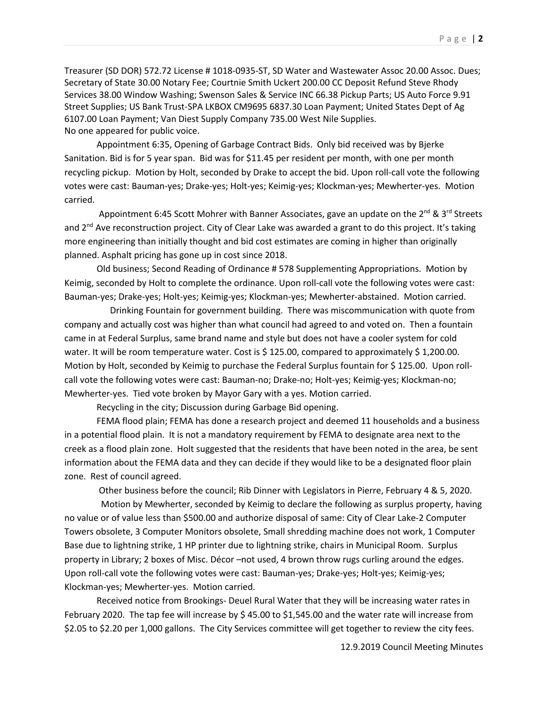Treasurer (SD DOR) 572.72 License # 1018-0935-ST, SD Water and Wastewater Assoc 20.00 Assoc. Dues; Secretary of State 30.00 Notary Fee; Courtnie Smith Uckert 200.00 CC Deposit Refund Steve Rhody Services 38.00 Window Washing; Swenson Sales & Service INC 66.38 Pickup Parts; US Auto Force 9.91 Street Supplies; US Bank Trust-SPA LKBOX CM9695 6837.30 Loan Payment; United States Dept of Ag 6107.00 Loan Payment; Van Diest Supply Company 735.00 West Nile Supplies. No one appeared for public voice.

Appointment 6:35, Opening of Garbage Contract Bids. Only bid received was by Bjerke Sanitation. Bid is for 5 year span. Bid was for \$11.45 per resident per month, with one per month recycling pickup. Motion by Holt, seconded by Drake to accept the bid. Upon roll-call vote the following votes were cast: Bauman-yes; Drake-yes; Holt-yes; Keimig-yes; Klockman-yes; Mewherter-yes. Motion carried.

Appointment 6:45 Scott Mohrer with Banner Associates, gave an update on the  $2^{nd}$  &  $3^{rd}$  Streets and  $2<sup>nd</sup>$  Ave reconstruction project. City of Clear Lake was awarded a grant to do this project. It's taking more engineering than initially thought and bid cost estimates are coming in higher than originally planned. Asphalt pricing has gone up in cost since 2018.

Old business; Second Reading of Ordinance # 578 Supplementing Appropriations. Motion by Keimig, seconded by Holt to complete the ordinance. Upon roll-call vote the following votes were cast: Bauman-yes; Drake-yes; Holt-yes; Keimig-yes; Klockman-yes; Mewherter-abstained. Motion carried.

 Drinking Fountain for government building. There was miscommunication with quote from company and actually cost was higher than what council had agreed to and voted on. Then a fountain came in at Federal Surplus, same brand name and style but does not have a cooler system for cold water. It will be room temperature water. Cost is \$125.00, compared to approximately \$1,200.00. Motion by Holt, seconded by Keimig to purchase the Federal Surplus fountain for \$ 125.00. Upon rollcall vote the following votes were cast: Bauman-no; Drake-no; Holt-yes; Keimig-yes; Klockman-no; Mewherter-yes. Tied vote broken by Mayor Gary with a yes. Motion carried.

Recycling in the city; Discussion during Garbage Bid opening.

FEMA flood plain; FEMA has done a research project and deemed 11 households and a business in a potential flood plain. It is not a mandatory requirement by FEMA to designate area next to the creek as a flood plain zone. Holt suggested that the residents that have been noted in the area, be sent information about the FEMA data and they can decide if they would like to be a designated floor plain zone. Rest of council agreed.

Other business before the council; Rib Dinner with Legislators in Pierre, February 4 & 5, 2020.

 Motion by Mewherter, seconded by Keimig to declare the following as surplus property, having no value or of value less than \$500.00 and authorize disposal of same: City of Clear Lake-2 Computer Towers obsolete, 3 Computer Monitors obsolete, Small shredding machine does not work, 1 Computer Base due to lightning strike, 1 HP printer due to lightning strike, chairs in Municipal Room. Surplus property in Library; 2 boxes of Misc. Décor –not used, 4 brown throw rugs curling around the edges. Upon roll-call vote the following votes were cast: Bauman-yes; Drake-yes; Holt-yes; Keimig-yes; Klockman-yes; Mewherter-yes. Motion carried.

Received notice from Brookings- Deuel Rural Water that they will be increasing water rates in February 2020. The tap fee will increase by \$ 45.00 to \$1,545.00 and the water rate will increase from \$2.05 to \$2.20 per 1,000 gallons. The City Services committee will get together to review the city fees.